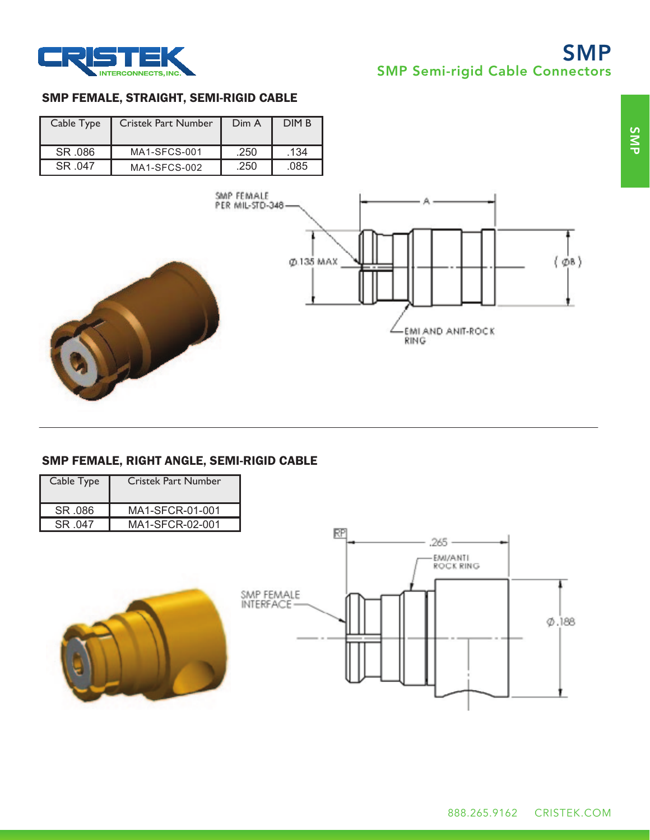

# SMP SMP Semi-rigid Cable Connectors

#### SMP FEMALE, STRAIGHT, SEMI-RIGID CABLE

| Cable Type | <b>Cristek Part Number</b> | Dim A | DIM B |
|------------|----------------------------|-------|-------|
| SR .086    | MA1-SFCS-001               | .250  | .134  |
| SR 047     | MA1-SECS-002               | .250  | .085  |





### SMP FEMALE, RIGHT ANGLE, SEMI-RIGID CABLE

| Cable Type | Cristek Part Number |
|------------|---------------------|
| SR 086     | MA1-SFCR-01-001     |
| SR 047     | MA1-SECR-02-001     |

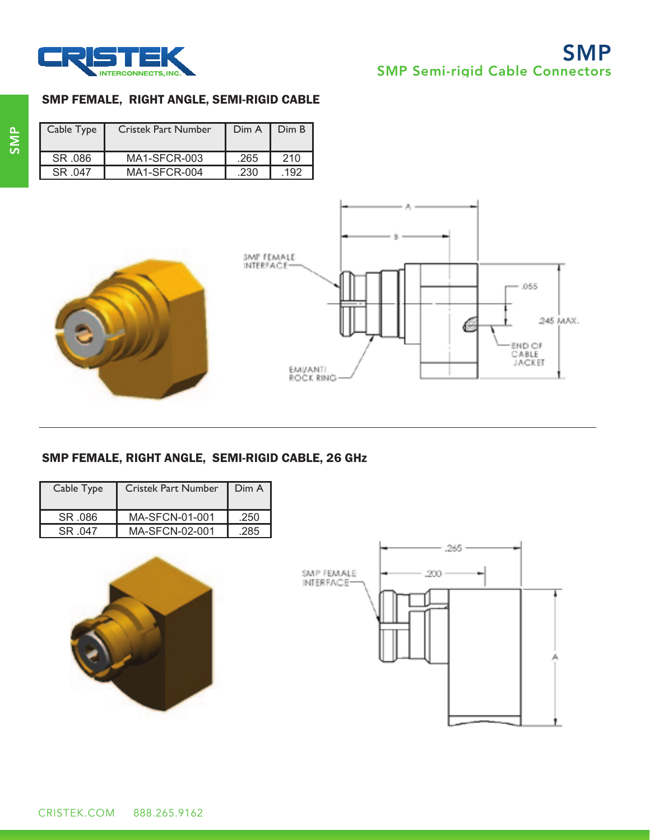

#### SMP FEMALE, RIGHT ANGLE, SEMI-RIGID CABLE

| Cable Type | <b>Cristek Part Number</b> |      | $Dim A$   $Dim B$ |
|------------|----------------------------|------|-------------------|
| SR 086     | MA1-SFCR-003               | .265 | 210               |
| SR 047     | MA1-SECR-004               | -230 | 192               |





# SMP FEMALE, RIGHT ANGLE, SEMI-RIGID CABLE, 26 GHz

| Cable Type<br><b>Cristek Part Number</b> |                       | Dim A |
|------------------------------------------|-----------------------|-------|
| SR 086                                   | MA-SFCN-01-001        | .250  |
| SR 047                                   | <b>MA-SFCN-02-001</b> | .285  |



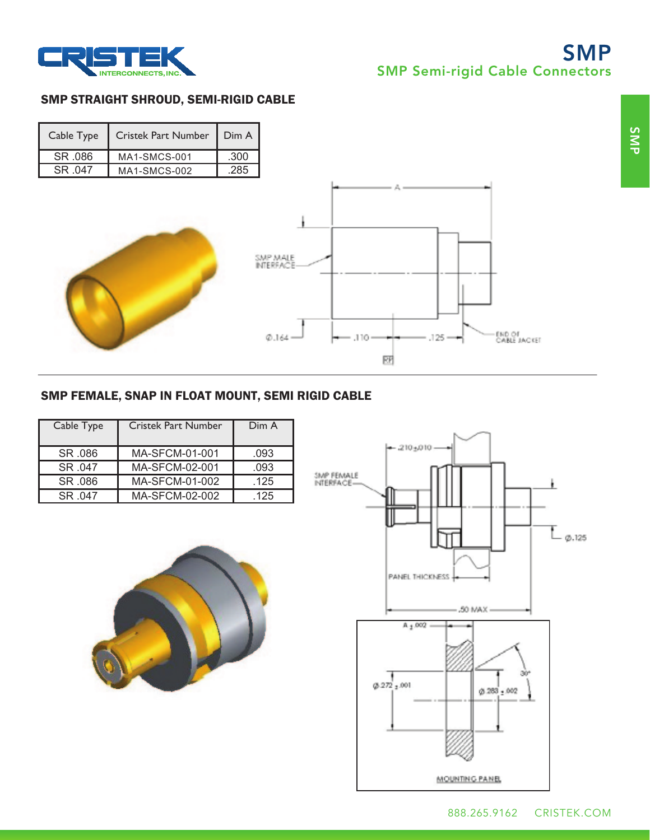

# SMP SMP Semi-rigid Cable Connectors

#### SMP STRAIGHT SHROUD, SEMI-RIGID CABLE

| Cable Type | Cristek Part Number   Dim A |      |
|------------|-----------------------------|------|
| SR .086    | MA1-SMCS-001                | .300 |
| SR 047     | <b>MA1-SMCS-002</b>         | 285  |



## SMP FEMALE, SNAP IN FLOAT MOUNT, SEMI RIGID CABLE

| Cable Type | <b>Cristek Part Number</b> | Dim A |
|------------|----------------------------|-------|
| SR .086    | MA-SFCM-01-001             | .093  |
| SR 047     | MA-SFCM-02-001             | .093  |
| SR .086    | MA-SFCM-01-002             | .125  |
| SR 047     | MA-SFCM-02-002             | .125  |



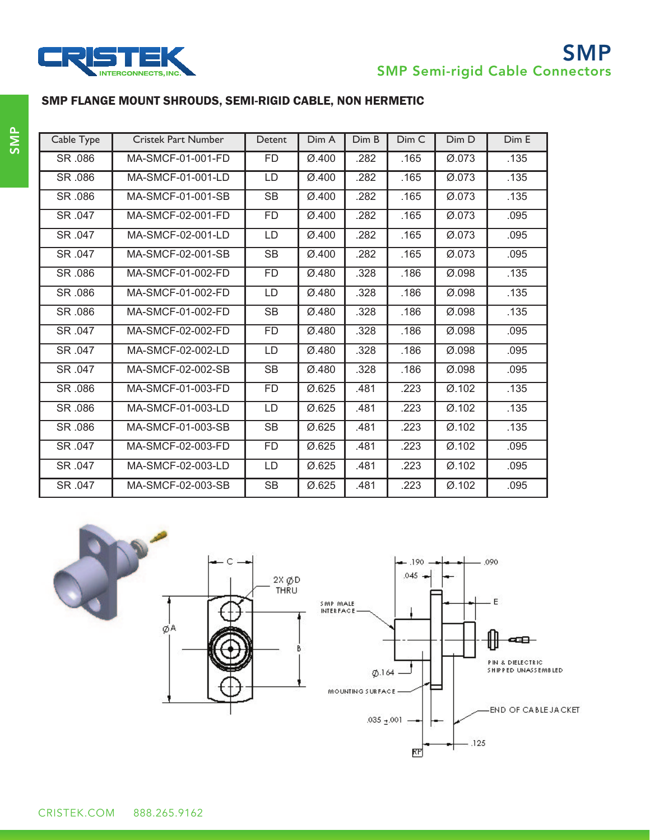

 $-.125$ 

КP



# SMP

## SMP FLANGE MOUNT SHROUDS, SEMI-RIGID CABLE, NON HERMETIC

| Cable Type | <b>Cristek Part Number</b> | Detent    | Dim A              | Dim B | Dim C | Dim D              | Dim E |
|------------|----------------------------|-----------|--------------------|-------|-------|--------------------|-------|
| SR .086    | MA-SMCF-01-001-FD          | <b>FD</b> | Ø.400              | .282  | .165  | Ø.073              | .135  |
| SR .086    | MA-SMCF-01-001-LD          | LD        | Ø.400              | .282  | .165  | Ø.073              | .135  |
| SR .086    | MA-SMCF-01-001-SB          | <b>SB</b> | Ø.400              | .282  | .165  | Ø.073              | .135  |
| SR .047    | MA-SMCF-02-001-FD          | FD        | Ø.400              | .282  | .165  | Ø.073              | .095  |
| SR .047    | MA-SMCF-02-001-LD          | LD        | Ø.400              | .282  | .165  | Ø.073              | .095  |
| SR .047    | MA-SMCF-02-001-SB          | <b>SB</b> | Ø.400              | .282  | .165  | Ø.073              | .095  |
| SR .086    | MA-SMCF-01-002-FD          | <b>FD</b> | Ø.480              | .328  | .186  | Ø.098              | .135  |
| SR .086    | MA-SMCF-01-002-FD          | LD        | Ø.480              | .328  | .186  | $\varnothing$ .098 | .135  |
| SR .086    | MA-SMCF-01-002-FD          | <b>SB</b> | Ø.480              | .328  | .186  | Ø.098              | .135  |
| SR .047    | MA-SMCF-02-002-FD          | <b>FD</b> | Ø.480              | .328  | .186  | Ø.098              | .095  |
| SR .047    | MA-SMCF-02-002-LD          | LD        | Ø.480              | .328  | .186  | Ø.098              | .095  |
| SR .047    | MA-SMCF-02-002-SB          | <b>SB</b> | Ø.480              | .328  | .186  | $\varnothing$ .098 | .095  |
| SR .086    | MA-SMCF-01-003-FD          | FD        | Ø.625              | .481  | .223  | Ø.102              | .135  |
| SR .086    | MA-SMCF-01-003-LD          | LD        | $\varnothing$ .625 | .481  | .223  | Ø.102              | .135  |
| SR .086    | MA-SMCF-01-003-SB          | <b>SB</b> | Ø.625              | .481  | .223  | Ø.102              | .135  |
| SR .047    | MA-SMCF-02-003-FD          | <b>FD</b> | Ø.625              | .481  | .223  | Ø.102              | .095  |
| SR .047    | MA-SMCF-02-003-LD          | LD        | Ø.625              | .481  | .223  | Ø.102              | .095  |
| SR .047    | MA-SMCF-02-003-SB          | SB        | Ø.625              | .481  | .223  | Ø.102              | .095  |

С .090 190  $.045 -$ 2X ØD<br>THRU  $- E$ SMP MALE<br>INTERFACE øА œ⊟⊢ Ηt PIN & DIELECTRIC<br>Shipped Unassembled  $Ø.164 -$ MOUNTING SURFACE **END OF CABLE JACKET** .035  $\pm$  001 -